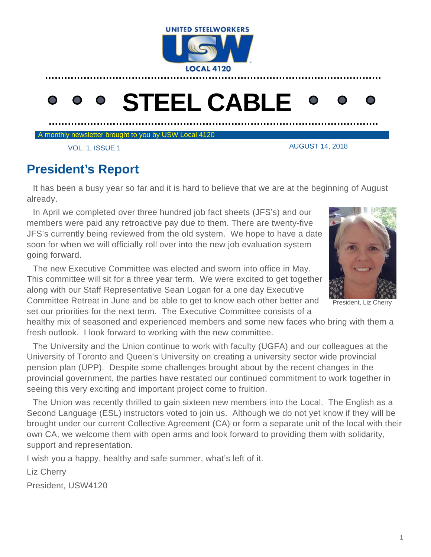

# **STEEL CABLE**

**………………………………………………………………………………………….** 

A monthly newsletter brought to you by USW Local 4120

AUGUST 14, 2018

VOL. 1, ISSUE 1

# **President's Report**

 It has been a busy year so far and it is hard to believe that we are at the beginning of August already.

 In April we completed over three hundred job fact sheets (JFS's) and our members were paid any retroactive pay due to them. There are twenty-five JFS's currently being reviewed from the old system. We hope to have a date soon for when we will officially roll over into the new job evaluation system going forward.

 The new Executive Committee was elected and sworn into office in May. This committee will sit for a three year term. We were excited to get together along with our Staff Representative Sean Logan for a one day Executive Committee Retreat in June and be able to get to know each other better and set our priorities for the next term. The Executive Committee consists of a



President, Liz Cherry

healthy mix of seasoned and experienced members and some new faces who bring with them a fresh outlook. I look forward to working with the new committee.

 The University and the Union continue to work with faculty (UGFA) and our colleagues at the University of Toronto and Queen's University on creating a university sector wide provincial pension plan (UPP). Despite some challenges brought about by the recent changes in the provincial government, the parties have restated our continued commitment to work together in seeing this very exciting and important project come to fruition.

 The Union was recently thrilled to gain sixteen new members into the Local. The English as a Second Language (ESL) instructors voted to join us. Although we do not yet know if they will be brought under our current Collective Agreement (CA) or form a separate unit of the local with their own CA, we welcome them with open arms and look forward to providing them with solidarity, support and representation.

I wish you a happy, healthy and safe summer, what's left of it.

Liz Cherry

President, USW4120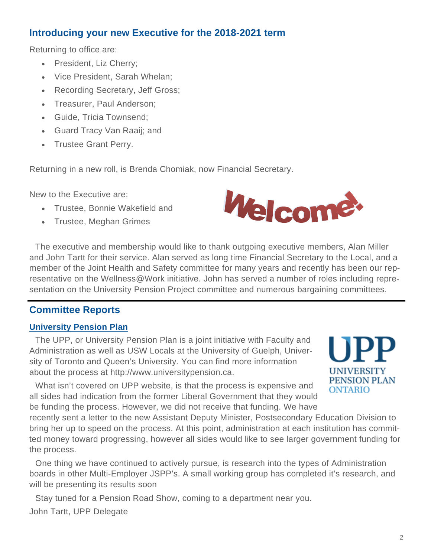## **Introducing your new Executive for the 2018-2021 term**

Returning to office are:

- President, Liz Cherry;
- Vice President, Sarah Whelan;
- Recording Secretary, Jeff Gross;
- Treasurer, Paul Anderson;
- Guide, Tricia Townsend;
- Guard Tracy Van Raaij; and
- Trustee Grant Perry.

Returning in a new roll, is Brenda Chomiak, now Financial Secretary.

New to the Executive are:

- Trustee, Bonnie Wakefield and
- Trustee, Meghan Grimes



 The executive and membership would like to thank outgoing executive members, Alan Miller and John Tartt for their service. Alan served as long time Financial Secretary to the Local, and a member of the Joint Health and Safety committee for many years and recently has been our representative on the Wellness@Work initiative. John has served a number of roles including representation on the University Pension Project committee and numerous bargaining committees.

# **Committee Reports**

## **University Pension Plan**

 The UPP, or University Pension Plan is a joint initiative with Faculty and Administration as well as USW Locals at the University of Guelph, University of Toronto and Queen's University. You can find more information about the process at http://www.universitypension.ca.

 What isn't covered on UPP website, is that the process is expensive and all sides had indication from the former Liberal Government that they would be funding the process. However, we did not receive that funding. We have

recently sent a letter to the new Assistant Deputy Minister, Postsecondary Education Division to bring her up to speed on the process. At this point, administration at each institution has committed money toward progressing, however all sides would like to see larger government funding for the process.

 One thing we have continued to actively pursue, is research into the types of Administration boards in other Multi-Employer JSPP's. A small working group has completed it's research, and will be presenting its results soon

 Stay tuned for a Pension Road Show, coming to a department near you. John Tartt, UPP Delegate



UNIVERSITY PENSION PLAN

**ONTARIO**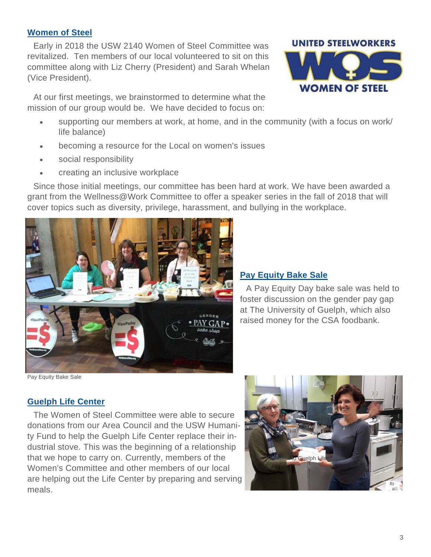#### **Women of Steel**

 Early in 2018 the USW 2140 Women of Steel Committee was revitalized. Ten members of our local volunteered to sit on this committee along with Liz Cherry (President) and Sarah Whelan (Vice President).

At our first meetings, we brainstormed to determine what the mission of our group would be. We have decided to focus on:

- supporting our members at work, at home, and in the community (with a focus on work/ life balance)
- becoming a resource for the Local on women's issues
- social responsibility
- creating an inclusive workplace

 Since those initial meetings, our committee has been hard at work. We have been awarded a grant from the Wellness@Work Committee to offer a speaker series in the fall of 2018 that will cover topics such as diversity, privilege, harassment, and bullying in the workplace.



**Pay Equity Bake Sale** 

 A Pay Equity Day bake sale was held to foster discussion on the gender pay gap at The University of Guelph, which also raised money for the CSA foodbank.

Pay Equity Bake Sale

#### **Guelph Life Center**

 The Women of Steel Committee were able to secure donations from our Area Council and the USW Humanity Fund to help the Guelph Life Center replace their industrial stove. This was the beginning of a relationship that we hope to carry on. Currently, members of the Women's Committee and other members of our local are helping out the Life Center by preparing and serving meals.



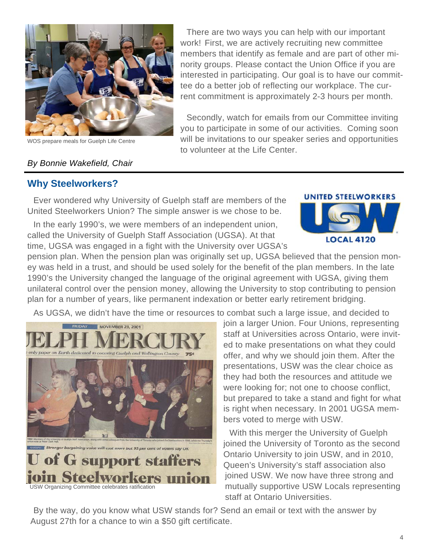

WOS prepare meals for Guelph Life Centre

#### *By Bonnie Wakefield, Chair*

## **Why Steelworkers?**

Ever wondered why University of Guelph staff are members of the United Steelworkers Union? The simple answer is we chose to be.

 In the early 1990's, we were members of an independent union, called the University of Guelph Staff Association (UGSA). At that time, UGSA was engaged in a fight with the University over UGSA's



pension plan. When the pension plan was originally set up, UGSA believed that the pension money was held in a trust, and should be used solely for the benefit of the plan members. In the late 1990's the University changed the language of the original agreement with UGSA, giving them unilateral control over the pension money, allowing the University to stop contributing to pension plan for a number of years, like permanent indexation or better early retirement bridging.

to volunteer at the Life Center.

As UGSA, we didn't have the time or resources to combat such a large issue, and decided to



join a larger Union. Four Unions, representing staff at Universities across Ontario, were invited to make presentations on what they could offer, and why we should join them. After the presentations, USW was the clear choice as they had both the resources and attitude we were looking for; not one to choose conflict, but prepared to take a stand and fight for what is right when necessary. In 2001 UGSA members voted to merge with USW.

 There are two ways you can help with our important work! First, we are actively recruiting new committee members that identify as female and are part of other minority groups. Please contact the Union Office if you are interested in participating. Our goal is to have our committee do a better job of reflecting our workplace. The current commitment is approximately 2-3 hours per month.

 Secondly, watch for emails from our Committee inviting you to participate in some of our activities. Coming soon will be invitations to our speaker series and opportunities

> With this merger the University of Guelph joined the University of Toronto as the second Ontario University to join USW, and in 2010, Queen's University's staff association also joined USW. We now have three strong and mutually supportive USW Locals representing staff at Ontario Universities.

 By the way, do you know what USW stands for? Send an email or text with the answer by August 27th for a chance to win a \$50 gift certificate.